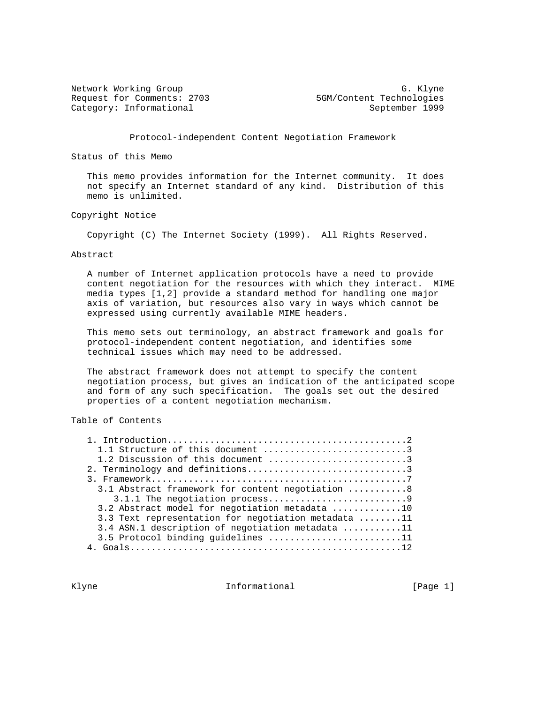Request for Comments: 2703 5GM/Content Technologies Category: Informational September 1999

Network Working Group Group G. Klyne

Protocol-independent Content Negotiation Framework

Status of this Memo

 This memo provides information for the Internet community. It does not specify an Internet standard of any kind. Distribution of this memo is unlimited.

Copyright Notice

Copyright (C) The Internet Society (1999). All Rights Reserved.

Abstract

 A number of Internet application protocols have a need to provide content negotiation for the resources with which they interact. MIME media types [1,2] provide a standard method for handling one major axis of variation, but resources also vary in ways which cannot be expressed using currently available MIME headers.

 This memo sets out terminology, an abstract framework and goals for protocol-independent content negotiation, and identifies some technical issues which may need to be addressed.

 The abstract framework does not attempt to specify the content negotiation process, but gives an indication of the anticipated scope and form of any such specification. The goals set out the desired properties of a content negotiation mechanism.

Table of Contents

| 1.1 Structure of this document 3                    |
|-----------------------------------------------------|
| 1.2 Discussion of this document 3                   |
| 2. Terminology and definitions3                     |
|                                                     |
| 3.1 Abstract framework for content negotiation 8    |
| 3.1.1 The negotiation process9                      |
| 3.2 Abstract model for negotiation metadata 10      |
| 3.3 Text representation for negotiation metadata 11 |
| 3.4 ASN.1 description of negotiation metadata 11    |
| 3.5 Protocol binding quidelines 11                  |
|                                                     |

Klyne **Informational** Informational [Page 1]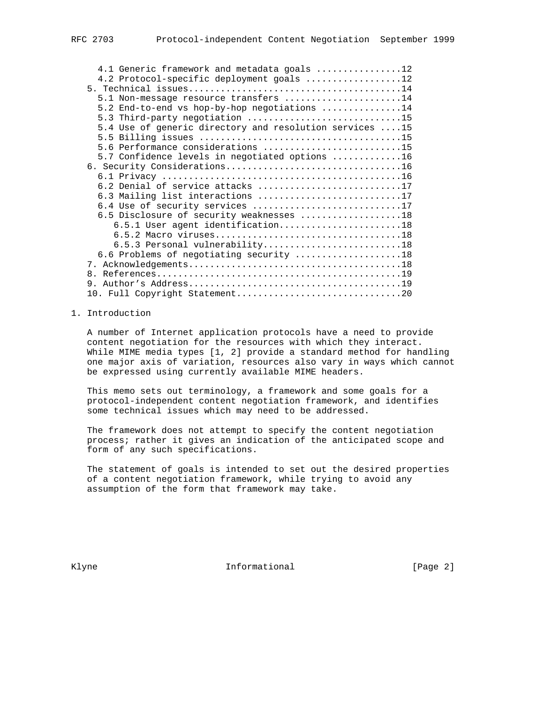| 4.1 Generic framework and metadata goals 12             |
|---------------------------------------------------------|
| 4.2 Protocol-specific deployment goals 12               |
|                                                         |
| 5.1 Non-message resource transfers 14                   |
| 5.2 End-to-end vs hop-by-hop negotiations 14            |
| 5.3 Third-party negotiation 15                          |
| 5.4 Use of generic directory and resolution services 15 |
|                                                         |
| 5.6 Performance considerations 15                       |
| 5.7 Confidence levels in negotiated options 16          |
| 6. Security Considerations16                            |
|                                                         |
| 6.2 Denial of service attacks 17                        |
| 6.3 Mailing list interactions 17                        |
| 6.4 Use of security services 17                         |
| 6.5 Disclosure of security weaknesses 18                |
| 6.5.1 User agent identification18                       |
|                                                         |
| 6.5.3 Personal vulnerability18                          |
| 6.6 Problems of negotiating security 18                 |
|                                                         |
|                                                         |
|                                                         |
|                                                         |
|                                                         |

### 1. Introduction

 A number of Internet application protocols have a need to provide content negotiation for the resources with which they interact. While MIME media types [1, 2] provide a standard method for handling one major axis of variation, resources also vary in ways which cannot be expressed using currently available MIME headers.

 This memo sets out terminology, a framework and some goals for a protocol-independent content negotiation framework, and identifies some technical issues which may need to be addressed.

 The framework does not attempt to specify the content negotiation process; rather it gives an indication of the anticipated scope and form of any such specifications.

 The statement of goals is intended to set out the desired properties of a content negotiation framework, while trying to avoid any assumption of the form that framework may take.

Klyne **Informational Informational** [Page 2]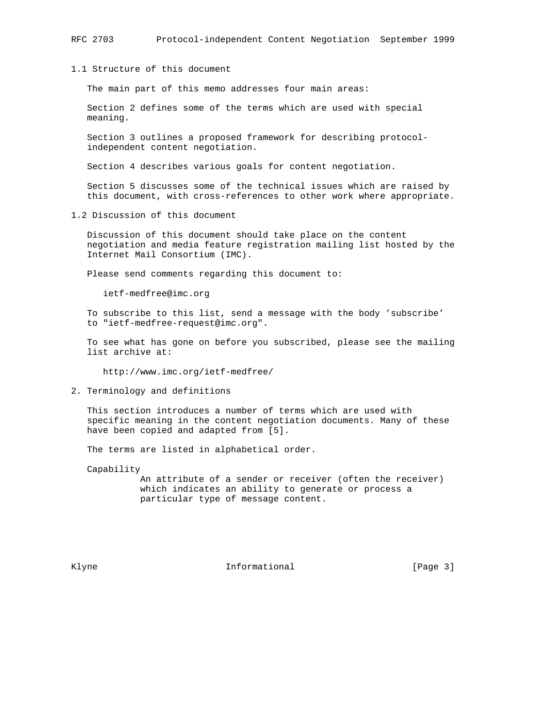# 1.1 Structure of this document

The main part of this memo addresses four main areas:

 Section 2 defines some of the terms which are used with special meaning.

 Section 3 outlines a proposed framework for describing protocol independent content negotiation.

Section 4 describes various goals for content negotiation.

 Section 5 discusses some of the technical issues which are raised by this document, with cross-references to other work where appropriate.

1.2 Discussion of this document

 Discussion of this document should take place on the content negotiation and media feature registration mailing list hosted by the Internet Mail Consortium (IMC).

Please send comments regarding this document to:

ietf-medfree@imc.org

 To subscribe to this list, send a message with the body 'subscribe' to "ietf-medfree-request@imc.org".

 To see what has gone on before you subscribed, please see the mailing list archive at:

http://www.imc.org/ietf-medfree/

2. Terminology and definitions

 This section introduces a number of terms which are used with specific meaning in the content negotiation documents. Many of these have been copied and adapted from [5].

The terms are listed in alphabetical order.

Capability

 An attribute of a sender or receiver (often the receiver) which indicates an ability to generate or process a particular type of message content.

Klyne **Informational** Informational [Page 3]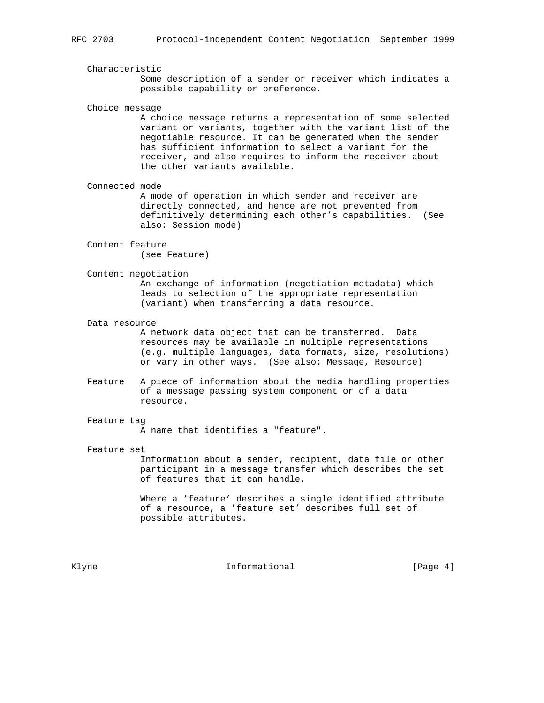Characteristic Some description of a sender or receiver which indicates a possible capability or preference.

Choice message

 A choice message returns a representation of some selected variant or variants, together with the variant list of the negotiable resource. It can be generated when the sender has sufficient information to select a variant for the receiver, and also requires to inform the receiver about the other variants available.

Connected mode

 A mode of operation in which sender and receiver are directly connected, and hence are not prevented from definitively determining each other's capabilities. (See also: Session mode)

 Content feature (see Feature)

Content negotiation

 An exchange of information (negotiation metadata) which leads to selection of the appropriate representation (variant) when transferring a data resource.

Data resource

 A network data object that can be transferred. Data resources may be available in multiple representations (e.g. multiple languages, data formats, size, resolutions) or vary in other ways. (See also: Message, Resource)

 Feature A piece of information about the media handling properties of a message passing system component or of a data resource.

## Feature tag

A name that identifies a "feature".

#### Feature set

 Information about a sender, recipient, data file or other participant in a message transfer which describes the set of features that it can handle.

 Where a 'feature' describes a single identified attribute of a resource, a 'feature set' describes full set of possible attributes.

Klyne **Informational** Informational [Page 4]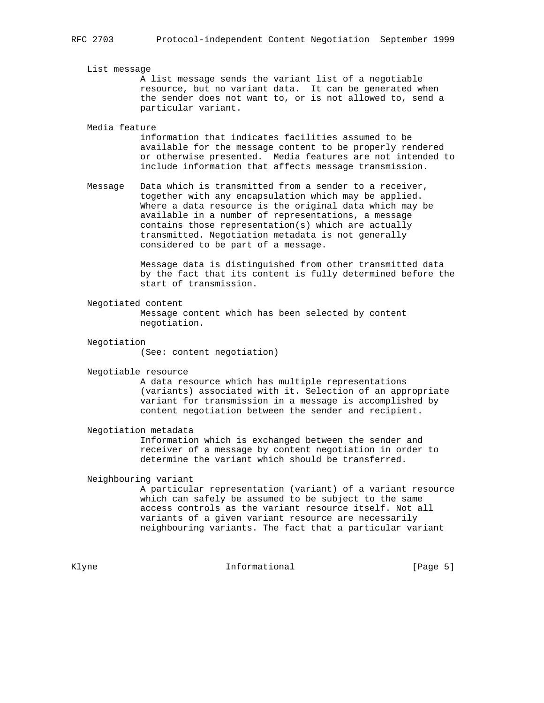#### List message

 A list message sends the variant list of a negotiable resource, but no variant data. It can be generated when the sender does not want to, or is not allowed to, send a particular variant.

### Media feature

 information that indicates facilities assumed to be available for the message content to be properly rendered or otherwise presented. Media features are not intended to include information that affects message transmission.

 Message Data which is transmitted from a sender to a receiver, together with any encapsulation which may be applied. Where a data resource is the original data which may be available in a number of representations, a message contains those representation(s) which are actually transmitted. Negotiation metadata is not generally considered to be part of a message.

> Message data is distinguished from other transmitted data by the fact that its content is fully determined before the start of transmission.

### Negotiated content

 Message content which has been selected by content negotiation.

#### Negotiation

(See: content negotiation)

Negotiable resource

 A data resource which has multiple representations (variants) associated with it. Selection of an appropriate variant for transmission in a message is accomplished by content negotiation between the sender and recipient.

#### Negotiation metadata

 Information which is exchanged between the sender and receiver of a message by content negotiation in order to determine the variant which should be transferred.

## Neighbouring variant

 A particular representation (variant) of a variant resource which can safely be assumed to be subject to the same access controls as the variant resource itself. Not all variants of a given variant resource are necessarily neighbouring variants. The fact that a particular variant

Klyne **Informational** Informational [Page 5]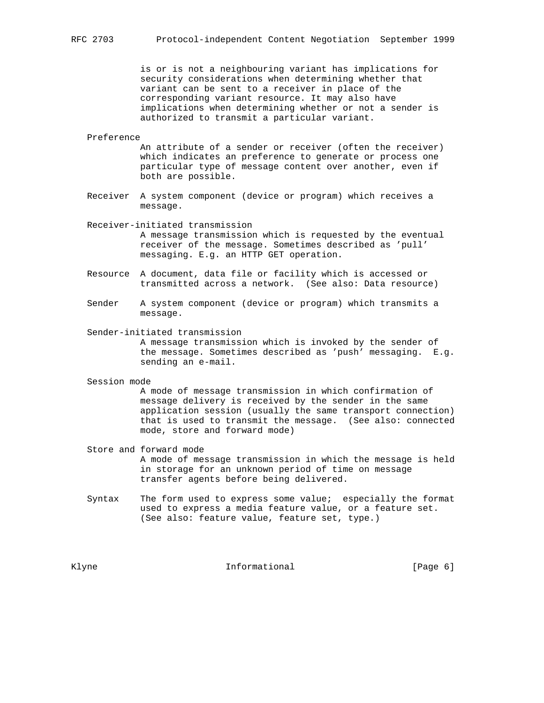is or is not a neighbouring variant has implications for security considerations when determining whether that variant can be sent to a receiver in place of the corresponding variant resource. It may also have implications when determining whether or not a sender is authorized to transmit a particular variant.

#### Preference

 An attribute of a sender or receiver (often the receiver) which indicates an preference to generate or process one particular type of message content over another, even if both are possible.

 Receiver A system component (device or program) which receives a message.

Receiver-initiated transmission

 A message transmission which is requested by the eventual receiver of the message. Sometimes described as 'pull' messaging. E.g. an HTTP GET operation.

- Resource A document, data file or facility which is accessed or transmitted across a network. (See also: Data resource)
- Sender A system component (device or program) which transmits a message.
- Sender-initiated transmission

 A message transmission which is invoked by the sender of the message. Sometimes described as 'push' messaging. E.g. sending an e-mail.

Session mode

 A mode of message transmission in which confirmation of message delivery is received by the sender in the same application session (usually the same transport connection) that is used to transmit the message. (See also: connected mode, store and forward mode)

- Store and forward mode A mode of message transmission in which the message is held in storage for an unknown period of time on message transfer agents before being delivered.
- Syntax The form used to express some value; especially the format used to express a media feature value, or a feature set. (See also: feature value, feature set, type.)

Klyne **Informational Informational** [Page 6]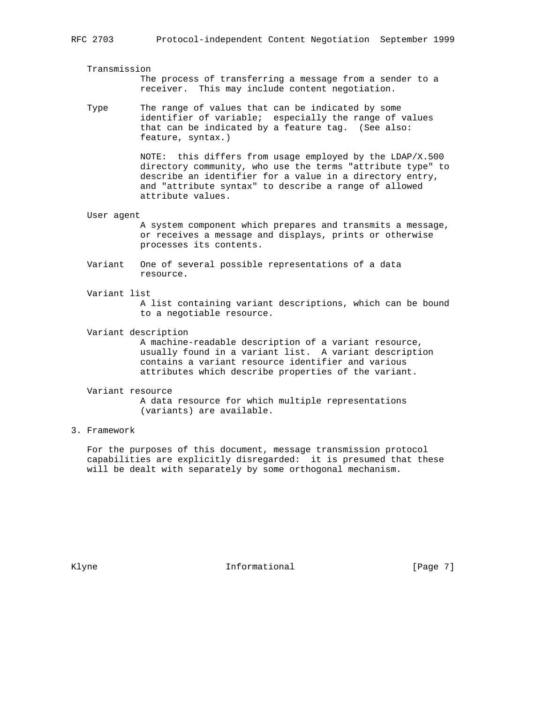### Transmission

 The process of transferring a message from a sender to a receiver. This may include content negotiation.

 Type The range of values that can be indicated by some identifier of variable; especially the range of values that can be indicated by a feature tag. (See also: feature, syntax.)

> NOTE: this differs from usage employed by the LDAP/X.500 directory community, who use the terms "attribute type" to describe an identifier for a value in a directory entry, and "attribute syntax" to describe a range of allowed attribute values.

User agent

 A system component which prepares and transmits a message, or receives a message and displays, prints or otherwise processes its contents.

- Variant One of several possible representations of a data resource.
- Variant list

 A list containing variant descriptions, which can be bound to a negotiable resource.

Variant description

 A machine-readable description of a variant resource, usually found in a variant list. A variant description contains a variant resource identifier and various attributes which describe properties of the variant.

### Variant resource

 A data resource for which multiple representations (variants) are available.

# 3. Framework

 For the purposes of this document, message transmission protocol capabilities are explicitly disregarded: it is presumed that these will be dealt with separately by some orthogonal mechanism.

Klyne **Informational** Informational [Page 7]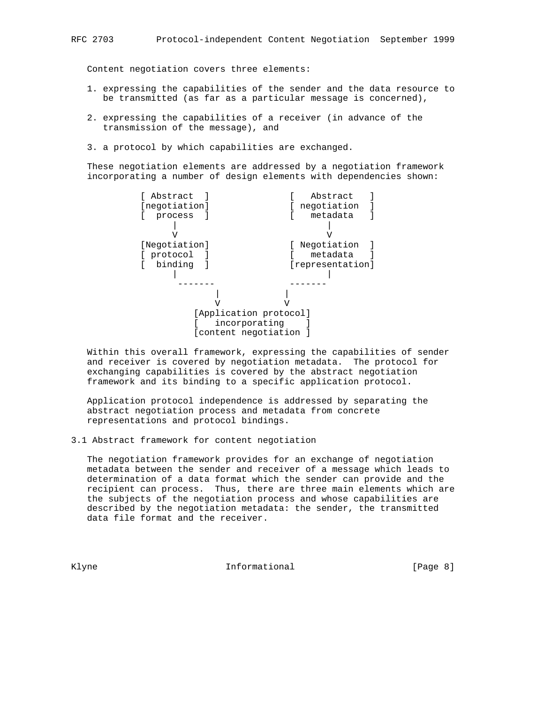Content negotiation covers three elements:

- 1. expressing the capabilities of the sender and the data resource to be transmitted (as far as a particular message is concerned),
- 2. expressing the capabilities of a receiver (in advance of the transmission of the message), and
- 3. a protocol by which capabilities are exchanged.

 These negotiation elements are addressed by a negotiation framework incorporating a number of design elements with dependencies shown:



 Within this overall framework, expressing the capabilities of sender and receiver is covered by negotiation metadata. The protocol for exchanging capabilities is covered by the abstract negotiation framework and its binding to a specific application protocol.

 Application protocol independence is addressed by separating the abstract negotiation process and metadata from concrete representations and protocol bindings.

3.1 Abstract framework for content negotiation

 The negotiation framework provides for an exchange of negotiation metadata between the sender and receiver of a message which leads to determination of a data format which the sender can provide and the recipient can process. Thus, there are three main elements which are the subjects of the negotiation process and whose capabilities are described by the negotiation metadata: the sender, the transmitted data file format and the receiver.

Klyne **Informational** Informational [Page 8]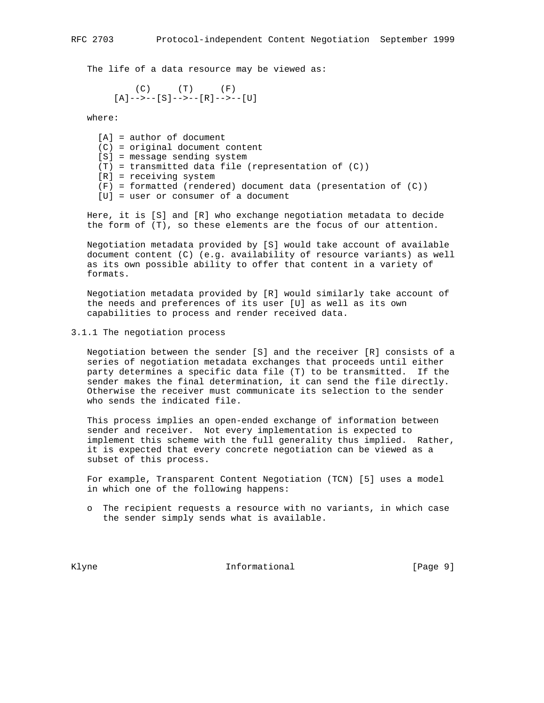The life of a data resource may be viewed as:

 (C) (T) (F) [A]-->--[S]-->--[R]-->--[U]

where:

 [A] = author of document (C) = original document content [S] = message sending system (T) = transmitted data file (representation of (C)) [R] = receiving system (F) = formatted (rendered) document data (presentation of (C)) [U] = user or consumer of a document

 Here, it is [S] and [R] who exchange negotiation metadata to decide the form of (T), so these elements are the focus of our attention.

 Negotiation metadata provided by [S] would take account of available document content (C) (e.g. availability of resource variants) as well as its own possible ability to offer that content in a variety of formats.

 Negotiation metadata provided by [R] would similarly take account of the needs and preferences of its user [U] as well as its own capabilities to process and render received data.

## 3.1.1 The negotiation process

 Negotiation between the sender [S] and the receiver [R] consists of a series of negotiation metadata exchanges that proceeds until either party determines a specific data file (T) to be transmitted. If the sender makes the final determination, it can send the file directly. Otherwise the receiver must communicate its selection to the sender who sends the indicated file.

 This process implies an open-ended exchange of information between sender and receiver. Not every implementation is expected to implement this scheme with the full generality thus implied. Rather, it is expected that every concrete negotiation can be viewed as a subset of this process.

 For example, Transparent Content Negotiation (TCN) [5] uses a model in which one of the following happens:

 o The recipient requests a resource with no variants, in which case the sender simply sends what is available.

Klyne **Informational Informational** [Page 9]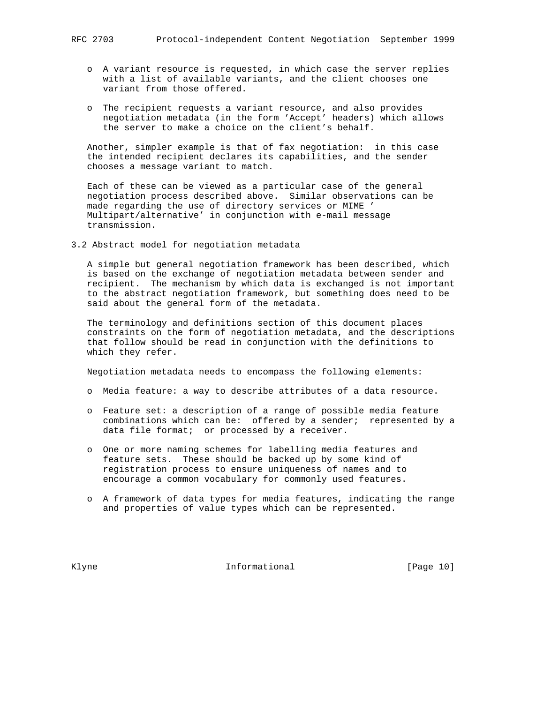- - o A variant resource is requested, in which case the server replies with a list of available variants, and the client chooses one variant from those offered.
	- o The recipient requests a variant resource, and also provides negotiation metadata (in the form 'Accept' headers) which allows the server to make a choice on the client's behalf.

 Another, simpler example is that of fax negotiation: in this case the intended recipient declares its capabilities, and the sender chooses a message variant to match.

 Each of these can be viewed as a particular case of the general negotiation process described above. Similar observations can be made regarding the use of directory services or MIME ' Multipart/alternative' in conjunction with e-mail message transmission.

3.2 Abstract model for negotiation metadata

 A simple but general negotiation framework has been described, which is based on the exchange of negotiation metadata between sender and recipient. The mechanism by which data is exchanged is not important to the abstract negotiation framework, but something does need to be said about the general form of the metadata.

 The terminology and definitions section of this document places constraints on the form of negotiation metadata, and the descriptions that follow should be read in conjunction with the definitions to which they refer.

Negotiation metadata needs to encompass the following elements:

- o Media feature: a way to describe attributes of a data resource.
- o Feature set: a description of a range of possible media feature combinations which can be: offered by a sender; represented by a data file format; or processed by a receiver.
- o One or more naming schemes for labelling media features and feature sets. These should be backed up by some kind of registration process to ensure uniqueness of names and to encourage a common vocabulary for commonly used features.
- o A framework of data types for media features, indicating the range and properties of value types which can be represented.

Klyne **Informational Informational** [Page 10]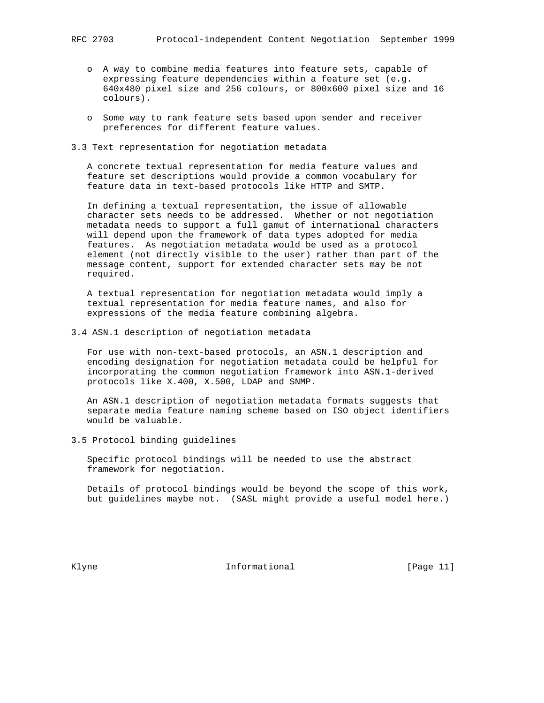- o A way to combine media features into feature sets, capable of expressing feature dependencies within a feature set (e.g. 640x480 pixel size and 256 colours, or 800x600 pixel size and 16 colours).
- o Some way to rank feature sets based upon sender and receiver preferences for different feature values.
- 3.3 Text representation for negotiation metadata

 A concrete textual representation for media feature values and feature set descriptions would provide a common vocabulary for feature data in text-based protocols like HTTP and SMTP.

 In defining a textual representation, the issue of allowable character sets needs to be addressed. Whether or not negotiation metadata needs to support a full gamut of international characters will depend upon the framework of data types adopted for media features. As negotiation metadata would be used as a protocol element (not directly visible to the user) rather than part of the message content, support for extended character sets may be not required.

 A textual representation for negotiation metadata would imply a textual representation for media feature names, and also for expressions of the media feature combining algebra.

3.4 ASN.1 description of negotiation metadata

 For use with non-text-based protocols, an ASN.1 description and encoding designation for negotiation metadata could be helpful for incorporating the common negotiation framework into ASN.1-derived protocols like X.400, X.500, LDAP and SNMP.

 An ASN.1 description of negotiation metadata formats suggests that separate media feature naming scheme based on ISO object identifiers would be valuable.

3.5 Protocol binding guidelines

 Specific protocol bindings will be needed to use the abstract framework for negotiation.

 Details of protocol bindings would be beyond the scope of this work, but guidelines maybe not. (SASL might provide a useful model here.)

Klyne 11 and Informational The Informational (Page 11)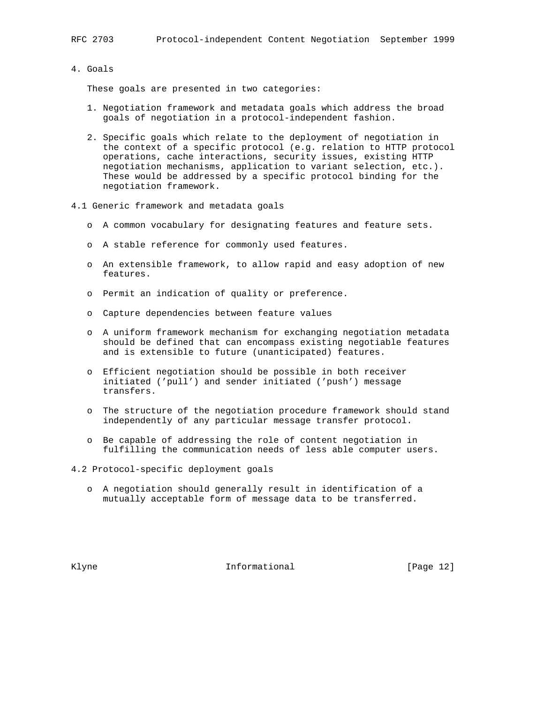# 4. Goals

These goals are presented in two categories:

- 1. Negotiation framework and metadata goals which address the broad goals of negotiation in a protocol-independent fashion.
- 2. Specific goals which relate to the deployment of negotiation in the context of a specific protocol (e.g. relation to HTTP protocol operations, cache interactions, security issues, existing HTTP negotiation mechanisms, application to variant selection, etc.). These would be addressed by a specific protocol binding for the negotiation framework.
- 4.1 Generic framework and metadata goals
	- o A common vocabulary for designating features and feature sets.
	- o A stable reference for commonly used features.
	- o An extensible framework, to allow rapid and easy adoption of new features.
	- o Permit an indication of quality or preference.
	- o Capture dependencies between feature values
	- o A uniform framework mechanism for exchanging negotiation metadata should be defined that can encompass existing negotiable features and is extensible to future (unanticipated) features.
	- o Efficient negotiation should be possible in both receiver initiated ('pull') and sender initiated ('push') message transfers.
	- o The structure of the negotiation procedure framework should stand independently of any particular message transfer protocol.
	- o Be capable of addressing the role of content negotiation in fulfilling the communication needs of less able computer users.

4.2 Protocol-specific deployment goals

 o A negotiation should generally result in identification of a mutually acceptable form of message data to be transferred.

Klyne **Informational Informational** [Page 12]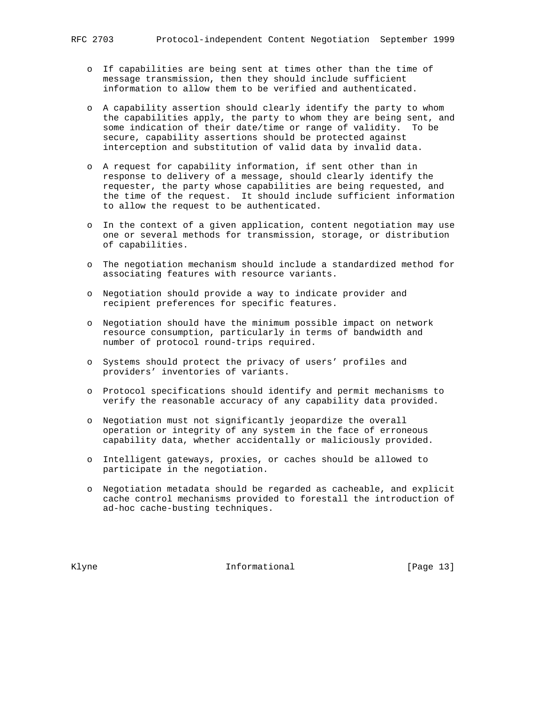- o If capabilities are being sent at times other than the time of message transmission, then they should include sufficient information to allow them to be verified and authenticated.
- o A capability assertion should clearly identify the party to whom the capabilities apply, the party to whom they are being sent, and some indication of their date/time or range of validity. To be secure, capability assertions should be protected against interception and substitution of valid data by invalid data.
- o A request for capability information, if sent other than in response to delivery of a message, should clearly identify the requester, the party whose capabilities are being requested, and the time of the request. It should include sufficient information to allow the request to be authenticated.
- o In the context of a given application, content negotiation may use one or several methods for transmission, storage, or distribution of capabilities.
- o The negotiation mechanism should include a standardized method for associating features with resource variants.
- o Negotiation should provide a way to indicate provider and recipient preferences for specific features.
- o Negotiation should have the minimum possible impact on network resource consumption, particularly in terms of bandwidth and number of protocol round-trips required.
- o Systems should protect the privacy of users' profiles and providers' inventories of variants.
- o Protocol specifications should identify and permit mechanisms to verify the reasonable accuracy of any capability data provided.
- o Negotiation must not significantly jeopardize the overall operation or integrity of any system in the face of erroneous capability data, whether accidentally or maliciously provided.
- o Intelligent gateways, proxies, or caches should be allowed to participate in the negotiation.
- o Negotiation metadata should be regarded as cacheable, and explicit cache control mechanisms provided to forestall the introduction of ad-hoc cache-busting techniques.

Klyne **Informational Informational** [Page 13]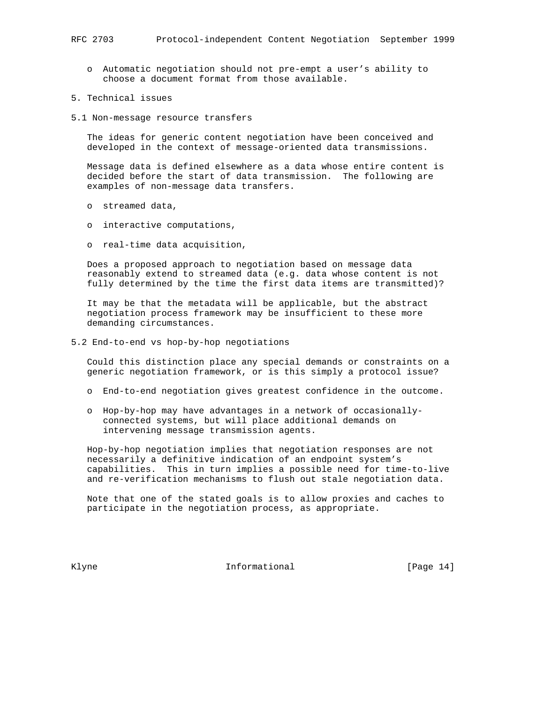- o Automatic negotiation should not pre-empt a user's ability to choose a document format from those available.
- 5. Technical issues
- 5.1 Non-message resource transfers

 The ideas for generic content negotiation have been conceived and developed in the context of message-oriented data transmissions.

 Message data is defined elsewhere as a data whose entire content is decided before the start of data transmission. The following are examples of non-message data transfers.

- o streamed data,
- o interactive computations,
- o real-time data acquisition,

 Does a proposed approach to negotiation based on message data reasonably extend to streamed data (e.g. data whose content is not fully determined by the time the first data items are transmitted)?

 It may be that the metadata will be applicable, but the abstract negotiation process framework may be insufficient to these more demanding circumstances.

5.2 End-to-end vs hop-by-hop negotiations

 Could this distinction place any special demands or constraints on a generic negotiation framework, or is this simply a protocol issue?

- o End-to-end negotiation gives greatest confidence in the outcome.
- o Hop-by-hop may have advantages in a network of occasionally connected systems, but will place additional demands on intervening message transmission agents.

 Hop-by-hop negotiation implies that negotiation responses are not necessarily a definitive indication of an endpoint system's capabilities. This in turn implies a possible need for time-to-live and re-verification mechanisms to flush out stale negotiation data.

 Note that one of the stated goals is to allow proxies and caches to participate in the negotiation process, as appropriate.

Klyne **Informational Informational** [Page 14]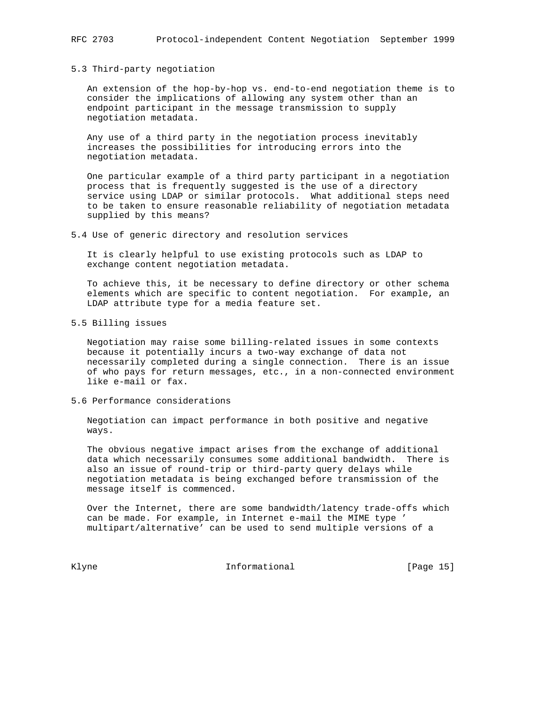### 5.3 Third-party negotiation

 An extension of the hop-by-hop vs. end-to-end negotiation theme is to consider the implications of allowing any system other than an endpoint participant in the message transmission to supply negotiation metadata.

 Any use of a third party in the negotiation process inevitably increases the possibilities for introducing errors into the negotiation metadata.

 One particular example of a third party participant in a negotiation process that is frequently suggested is the use of a directory service using LDAP or similar protocols. What additional steps need to be taken to ensure reasonable reliability of negotiation metadata supplied by this means?

5.4 Use of generic directory and resolution services

 It is clearly helpful to use existing protocols such as LDAP to exchange content negotiation metadata.

 To achieve this, it be necessary to define directory or other schema elements which are specific to content negotiation. For example, an LDAP attribute type for a media feature set.

5.5 Billing issues

 Negotiation may raise some billing-related issues in some contexts because it potentially incurs a two-way exchange of data not necessarily completed during a single connection. There is an issue of who pays for return messages, etc., in a non-connected environment like e-mail or fax.

5.6 Performance considerations

 Negotiation can impact performance in both positive and negative ways.

 The obvious negative impact arises from the exchange of additional data which necessarily consumes some additional bandwidth. There is also an issue of round-trip or third-party query delays while negotiation metadata is being exchanged before transmission of the message itself is commenced.

 Over the Internet, there are some bandwidth/latency trade-offs which can be made. For example, in Internet e-mail the MIME type ' multipart/alternative' can be used to send multiple versions of a

Klyne Informational [Page 15]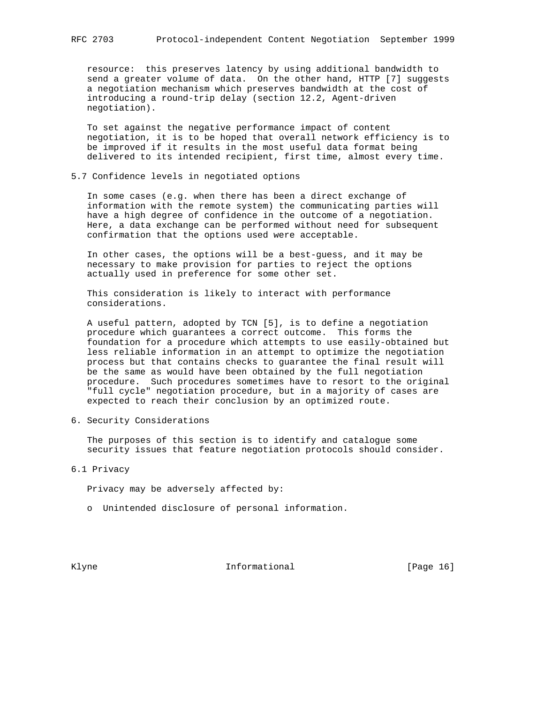resource: this preserves latency by using additional bandwidth to send a greater volume of data. On the other hand, HTTP [7] suggests a negotiation mechanism which preserves bandwidth at the cost of introducing a round-trip delay (section 12.2, Agent-driven negotiation).

 To set against the negative performance impact of content negotiation, it is to be hoped that overall network efficiency is to be improved if it results in the most useful data format being delivered to its intended recipient, first time, almost every time.

5.7 Confidence levels in negotiated options

 In some cases (e.g. when there has been a direct exchange of information with the remote system) the communicating parties will have a high degree of confidence in the outcome of a negotiation. Here, a data exchange can be performed without need for subsequent confirmation that the options used were acceptable.

 In other cases, the options will be a best-guess, and it may be necessary to make provision for parties to reject the options actually used in preference for some other set.

 This consideration is likely to interact with performance considerations.

 A useful pattern, adopted by TCN [5], is to define a negotiation procedure which guarantees a correct outcome. This forms the foundation for a procedure which attempts to use easily-obtained but less reliable information in an attempt to optimize the negotiation process but that contains checks to guarantee the final result will be the same as would have been obtained by the full negotiation procedure. Such procedures sometimes have to resort to the original "full cycle" negotiation procedure, but in a majority of cases are expected to reach their conclusion by an optimized route.

6. Security Considerations

 The purposes of this section is to identify and catalogue some security issues that feature negotiation protocols should consider.

6.1 Privacy

Privacy may be adversely affected by:

o Unintended disclosure of personal information.

Klyne **Informational Informational** [Page 16]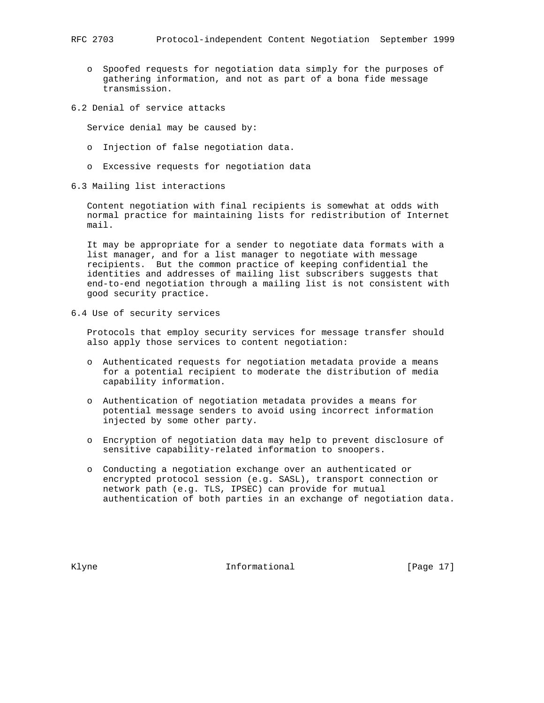- o Spoofed requests for negotiation data simply for the purposes of gathering information, and not as part of a bona fide message transmission.
- 6.2 Denial of service attacks

Service denial may be caused by:

- o Injection of false negotiation data.
- o Excessive requests for negotiation data
- 6.3 Mailing list interactions

 Content negotiation with final recipients is somewhat at odds with normal practice for maintaining lists for redistribution of Internet mail.

 It may be appropriate for a sender to negotiate data formats with a list manager, and for a list manager to negotiate with message recipients. But the common practice of keeping confidential the identities and addresses of mailing list subscribers suggests that end-to-end negotiation through a mailing list is not consistent with good security practice.

6.4 Use of security services

 Protocols that employ security services for message transfer should also apply those services to content negotiation:

- o Authenticated requests for negotiation metadata provide a means for a potential recipient to moderate the distribution of media capability information.
- o Authentication of negotiation metadata provides a means for potential message senders to avoid using incorrect information injected by some other party.
- o Encryption of negotiation data may help to prevent disclosure of sensitive capability-related information to snoopers.
- o Conducting a negotiation exchange over an authenticated or encrypted protocol session (e.g. SASL), transport connection or network path (e.g. TLS, IPSEC) can provide for mutual authentication of both parties in an exchange of negotiation data.

Klyne **Informational Informational** [Page 17]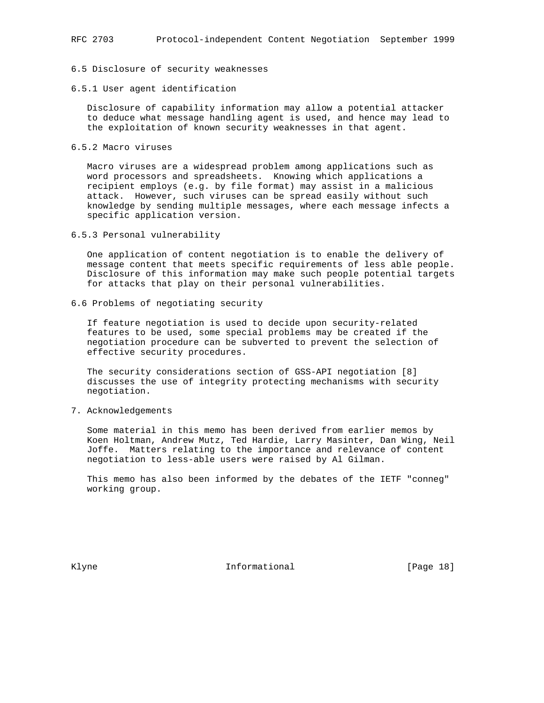## 6.5 Disclosure of security weaknesses

### 6.5.1 User agent identification

 Disclosure of capability information may allow a potential attacker to deduce what message handling agent is used, and hence may lead to the exploitation of known security weaknesses in that agent.

6.5.2 Macro viruses

 Macro viruses are a widespread problem among applications such as word processors and spreadsheets. Knowing which applications a recipient employs (e.g. by file format) may assist in a malicious attack. However, such viruses can be spread easily without such knowledge by sending multiple messages, where each message infects a specific application version.

6.5.3 Personal vulnerability

 One application of content negotiation is to enable the delivery of message content that meets specific requirements of less able people. Disclosure of this information may make such people potential targets for attacks that play on their personal vulnerabilities.

6.6 Problems of negotiating security

 If feature negotiation is used to decide upon security-related features to be used, some special problems may be created if the negotiation procedure can be subverted to prevent the selection of effective security procedures.

 The security considerations section of GSS-API negotiation [8] discusses the use of integrity protecting mechanisms with security negotiation.

7. Acknowledgements

 Some material in this memo has been derived from earlier memos by Koen Holtman, Andrew Mutz, Ted Hardie, Larry Masinter, Dan Wing, Neil Joffe. Matters relating to the importance and relevance of content negotiation to less-able users were raised by Al Gilman.

 This memo has also been informed by the debates of the IETF "conneg" working group.

Klyne **Informational Informational** [Page 18]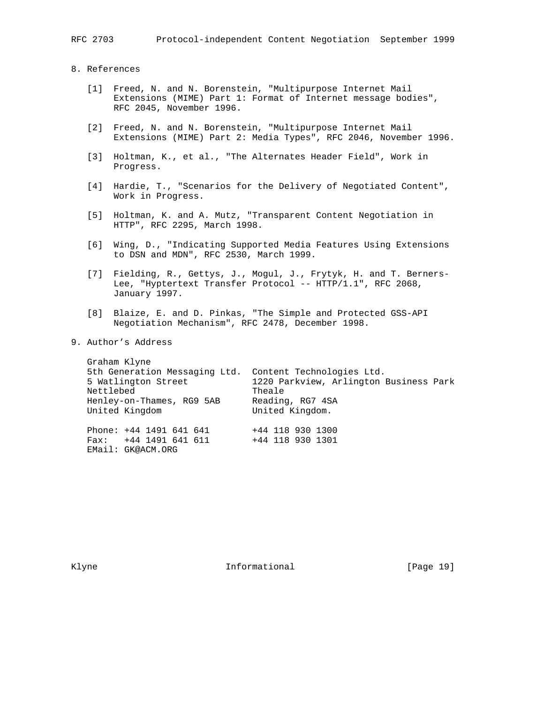- 8. References
	- [1] Freed, N. and N. Borenstein, "Multipurpose Internet Mail Extensions (MIME) Part 1: Format of Internet message bodies", RFC 2045, November 1996.
	- [2] Freed, N. and N. Borenstein, "Multipurpose Internet Mail Extensions (MIME) Part 2: Media Types", RFC 2046, November 1996.
	- [3] Holtman, K., et al., "The Alternates Header Field", Work in Progress.
	- [4] Hardie, T., "Scenarios for the Delivery of Negotiated Content", Work in Progress.
	- [5] Holtman, K. and A. Mutz, "Transparent Content Negotiation in HTTP", RFC 2295, March 1998.
	- [6] Wing, D., "Indicating Supported Media Features Using Extensions to DSN and MDN", RFC 2530, March 1999.
	- [7] Fielding, R., Gettys, J., Mogul, J., Frytyk, H. and T. Berners- Lee, "Hyptertext Transfer Protocol -- HTTP/1.1", RFC 2068, January 1997.
	- [8] Blaize, E. and D. Pinkas, "The Simple and Protected GSS-API Negotiation Mechanism", RFC 2478, December 1998.
- 9. Author's Address

| Graham Klyne<br>5th Generation Messaging Ltd.<br>5 Watlington Street<br>Nettlebed<br>Henley-on-Thames, RG9 5AB<br>United Kingdom | Content Technologies Ltd.<br>1220 Parkview, Arlington Business Park<br>Theale<br>Reading, RG7 4SA<br>United Kingdom. |
|----------------------------------------------------------------------------------------------------------------------------------|----------------------------------------------------------------------------------------------------------------------|
| Phone: $+44$ 1491 641 641<br>+44 1491 641 611<br>Fax:<br>EMail: GK@ACM.ORG                                                       | +44 118 930 1300<br>+44 118 930 1301                                                                                 |

Klyne **Informational Informational** [Page 19]